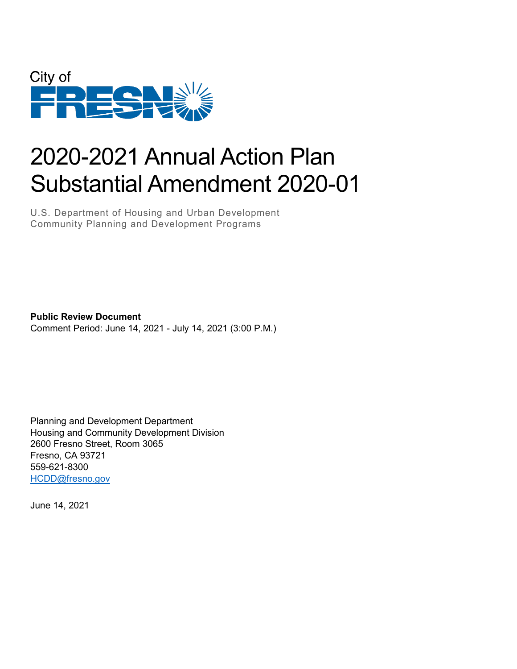

# 2020-2021 Annual Action Plan Substantial Amendment 2020-01

U.S. Department of Housing and Urban Development Community Planning and Development Programs

**Public Review Document** Comment Period: June 14, 2021 - July 14, 2021 (3:00 P.M.)

Planning and Development Department Housing and Community Development Division 2600 Fresno Street, Room 3065 Fresno, CA 93721 559-621-8300 [HCDD@fresno.gov](mailto:HCDD@fresno.gov)

June 14, 2021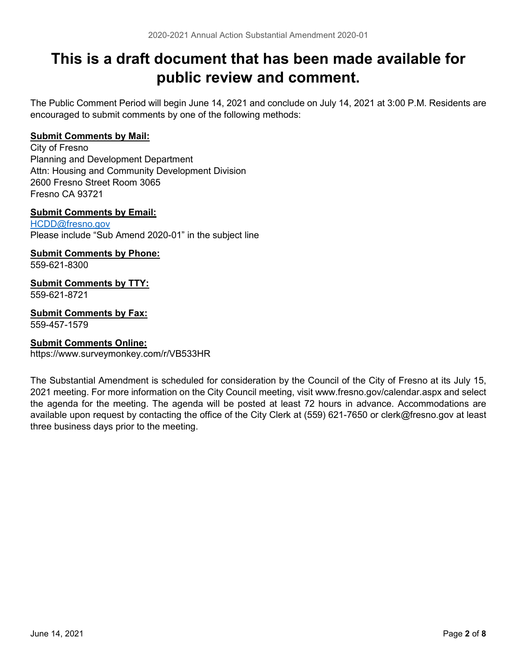# **This is a draft document that has been made available for public review and comment.**

The Public Comment Period will begin June 14, 2021 and conclude on July 14, 2021 at 3:00 P.M. Residents are encouraged to submit comments by one of the following methods:

### **Submit Comments by Mail:**

City of Fresno Planning and Development Department Attn: Housing and Community Development Division 2600 Fresno Street Room 3065 Fresno CA 93721

### **Submit Comments by Email:**

[HCDD@fresno.gov](mailto:HCDD@fresno.gov) Please include "Sub Amend 2020-01" in the subject line

### **Submit Comments by Phone:**

559-621-8300

#### **Submit Comments by TTY:** 559-621-8721

**Submit Comments by Fax:**

559-457-1579

### **Submit Comments Online:**

https://www.surveymonkey.com/r/VB533HR

The Substantial Amendment is scheduled for consideration by the Council of the City of Fresno at its July 15, 2021 meeting. For more information on the City Council meeting, visit www.fresno.gov/calendar.aspx and select the agenda for the meeting. The agenda will be posted at least 72 hours in advance. Accommodations are available upon request by contacting the office of the City Clerk at (559) 621-7650 or clerk@fresno.gov at least three business days prior to the meeting.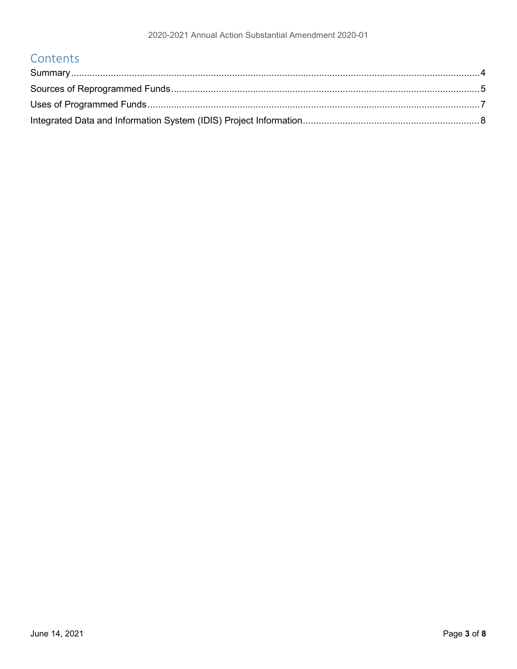### Contents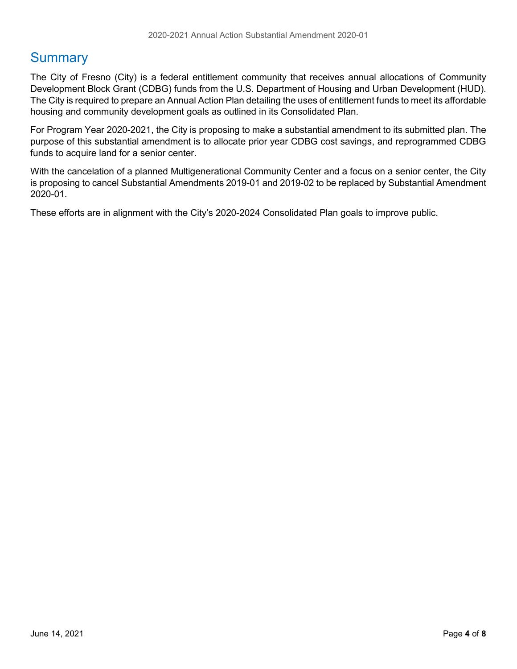### <span id="page-3-0"></span>**Summary**

The City of Fresno (City) is a federal entitlement community that receives annual allocations of Community Development Block Grant (CDBG) funds from the U.S. Department of Housing and Urban Development (HUD). The City is required to prepare an Annual Action Plan detailing the uses of entitlement funds to meet its affordable housing and community development goals as outlined in its Consolidated Plan.

For Program Year 2020-2021, the City is proposing to make a substantial amendment to its submitted plan. The purpose of this substantial amendment is to allocate prior year CDBG cost savings, and reprogrammed CDBG funds to acquire land for a senior center.

With the cancelation of a planned Multigenerational Community Center and a focus on a senior center, the City is proposing to cancel Substantial Amendments 2019-01 and 2019-02 to be replaced by Substantial Amendment 2020-01.

These efforts are in alignment with the City's 2020-2024 Consolidated Plan goals to improve public.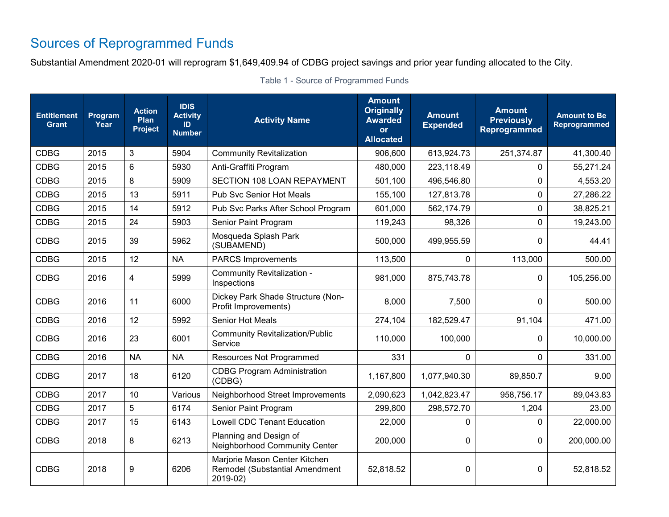# Sources of Reprogrammed Funds

Substantial Amendment 2020-01 will reprogram \$1,649,409.94 of CDBG project savings and prior year funding allocated to the City.

<span id="page-4-0"></span>

| <b>Entitlement</b><br><b>Grant</b> | Program<br>Year | <b>Action</b><br>Plan<br><b>Project</b> | <b>IDIS</b><br><b>Activity</b><br>ID<br><b>Number</b> | <b>Activity Name</b>                                                                                     | <b>Amount</b><br><b>Originally</b><br><b>Awarded</b><br>or<br><b>Allocated</b> | <b>Amount</b><br><b>Expended</b> | <b>Amount</b><br><b>Previously</b><br>Reprogrammed | <b>Amount to Be</b><br>Reprogrammed |
|------------------------------------|-----------------|-----------------------------------------|-------------------------------------------------------|----------------------------------------------------------------------------------------------------------|--------------------------------------------------------------------------------|----------------------------------|----------------------------------------------------|-------------------------------------|
| <b>CDBG</b>                        | 2015            | 3                                       | 5904                                                  | <b>Community Revitalization</b>                                                                          | 906,600                                                                        | 613,924.73                       | 251,374.87                                         | 41,300.40                           |
| <b>CDBG</b>                        | 2015            | 6                                       | 5930                                                  | Anti-Graffiti Program                                                                                    | 480,000                                                                        | 223,118.49                       | 0                                                  | 55,271.24                           |
| <b>CDBG</b>                        | 2015            | 8                                       | 5909                                                  | SECTION 108 LOAN REPAYMENT                                                                               | 501,100                                                                        | 496,546.80                       | $\Omega$                                           | 4,553.20                            |
| <b>CDBG</b>                        | 2015            | 13                                      | 5911                                                  | Pub Svc Senior Hot Meals                                                                                 | 155,100                                                                        | 127,813.78                       | 0                                                  | 27,286.22                           |
| <b>CDBG</b>                        | 2015            | 14                                      | 5912                                                  | Pub Svc Parks After School Program                                                                       | 601,000                                                                        | 562,174.79                       | 0                                                  | 38,825.21                           |
| <b>CDBG</b>                        | 2015            | 24                                      | 5903                                                  | Senior Paint Program                                                                                     | 119,243                                                                        | 98,326                           | 0                                                  | 19,243.00                           |
| <b>CDBG</b>                        | 2015            | 39                                      | 5962                                                  | Mosqueda Splash Park<br>(SUBAMEND)                                                                       | 500,000                                                                        | 499,955.59                       | 0                                                  | 44.41                               |
| <b>CDBG</b>                        | 2015            | 12                                      | <b>NA</b>                                             | <b>PARCS Improvements</b>                                                                                | 113,500                                                                        | $\mathbf{0}$                     | 113,000                                            | 500.00                              |
| <b>CDBG</b>                        | 2016            | $\overline{4}$                          | 5999                                                  | Community Revitalization -<br>Inspections                                                                | 981,000                                                                        | 875,743.78                       | 0                                                  | 105,256.00                          |
| <b>CDBG</b>                        | 2016            | 11                                      | 6000                                                  | Dickey Park Shade Structure (Non-<br>Profit Improvements)                                                | 8,000                                                                          | 7,500                            | 0                                                  | 500.00                              |
| <b>CDBG</b>                        | 2016            | 12                                      | 5992                                                  | Senior Hot Meals                                                                                         | 274,104                                                                        | 182,529.47                       | 91,104                                             | 471.00                              |
| <b>CDBG</b>                        | 2016            | 23                                      | 6001                                                  | <b>Community Revitalization/Public</b><br>Service                                                        | 110,000                                                                        | 100,000                          | 0                                                  | 10,000.00                           |
| <b>CDBG</b>                        | 2016            | <b>NA</b>                               | <b>NA</b>                                             | Resources Not Programmed                                                                                 | 331                                                                            | $\Omega$                         | 0                                                  | 331.00                              |
| <b>CDBG</b>                        | 2017            | 18                                      | 6120                                                  | <b>CDBG Program Administration</b><br>(CDBG)                                                             | 1,167,800                                                                      | 1,077,940.30                     | 89,850.7                                           | 9.00                                |
| <b>CDBG</b>                        | 2017            | 10                                      | Various                                               | Neighborhood Street Improvements                                                                         | 2,090,623                                                                      | 1,042,823.47                     | 958,756.17                                         | 89,043.83                           |
| <b>CDBG</b>                        | 2017            | 5                                       | 6174                                                  | Senior Paint Program                                                                                     | 299,800                                                                        | 298,572.70                       | 1,204                                              | 23.00                               |
| <b>CDBG</b>                        | 2017            | 15                                      | 6143                                                  | <b>Lowell CDC Tenant Education</b>                                                                       | 22,000                                                                         | $\Omega$                         | $\Omega$                                           | 22,000.00                           |
| <b>CDBG</b>                        | 2018            | 8                                       | 6213                                                  | Planning and Design of<br>Neighborhood Community Center                                                  | 200,000                                                                        | $\mathbf{0}$                     | 0                                                  | 200,000.00                          |
| <b>CDBG</b>                        | 2018            | 9                                       | 6206                                                  | Marjorie Mason Center Kitchen<br>Remodel (Substantial Amendment<br>52,818.52<br>$\mathbf{0}$<br>2019-02) |                                                                                | 0                                | 52,818.52                                          |                                     |

Table 1 - Source of Programmed Funds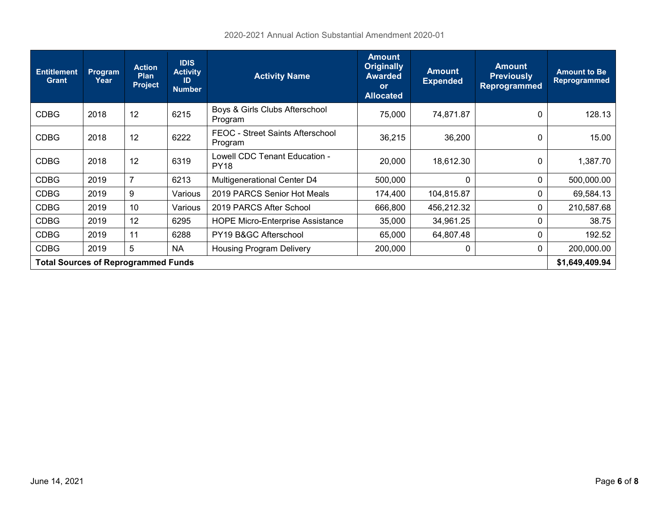| <b>Entitlement</b><br><b>Grant</b>         | <b>Program</b><br>Year | <b>Action</b><br><b>Plan</b><br><b>Project</b> | <b>IDIS</b><br><b>Activity</b><br>ID<br><b>Number</b> | <b>Activity Name</b>                                                | <b>Amount</b><br><b>Originally</b><br><b>Awarded</b><br><b>or</b><br><b>Allocated</b> | <b>Amount</b><br><b>Expended</b> | <b>Amount</b><br><b>Previously</b><br><b>Reprogrammed</b> | <b>Amount to Be</b><br><b>Reprogrammed</b> |
|--------------------------------------------|------------------------|------------------------------------------------|-------------------------------------------------------|---------------------------------------------------------------------|---------------------------------------------------------------------------------------|----------------------------------|-----------------------------------------------------------|--------------------------------------------|
| <b>CDBG</b>                                | 2018                   | 12                                             | 6215                                                  | Boys & Girls Clubs Afterschool<br>Program                           | 75,000<br>74,871.87                                                                   |                                  | 0                                                         | 128.13                                     |
| <b>CDBG</b>                                | 2018                   | 12                                             | 6222                                                  | FEOC - Street Saints Afterschool<br>36,215<br>Program               |                                                                                       | 36,200                           | 0                                                         | 15.00                                      |
| <b>CDBG</b>                                | 2018                   | 12                                             | 6319                                                  | Lowell CDC Tenant Education -<br><b>PY18</b>                        | 20,000                                                                                | 18,612.30                        | 0                                                         | 1,387.70                                   |
| <b>CDBG</b>                                | 2019                   | $\overline{7}$                                 | 6213                                                  | Multigenerational Center D4<br>500,000                              |                                                                                       | <sup>0</sup>                     | 0                                                         | 500,000.00                                 |
| <b>CDBG</b>                                | 2019                   | 9                                              | Various                                               | 2019 PARCS Senior Hot Meals<br>174,400<br>104,815.87                |                                                                                       | 0                                | 69,584.13                                                 |                                            |
| <b>CDBG</b>                                | 2019                   | 10                                             | Various                                               | 2019 PARCS After School<br>666,800<br>456,212.32                    |                                                                                       | 0                                | 210,587.68                                                |                                            |
| <b>CDBG</b>                                | 2019                   | 12                                             | 6295                                                  | <b>HOPE Micro-Enterprise Assistance</b><br>35,000<br>34,961.25<br>0 |                                                                                       | 38.75                            |                                                           |                                            |
| <b>CDBG</b>                                | 2019                   | 11                                             | 6288                                                  | PY19 B&GC Afterschool<br>65,000<br>64,807.48<br>0                   |                                                                                       | 192.52                           |                                                           |                                            |
| <b>CDBG</b>                                | 2019                   | 5                                              | <b>NA</b>                                             | <b>Housing Program Delivery</b><br>200,000<br>0<br>0                |                                                                                       | 200,000.00                       |                                                           |                                            |
| <b>Total Sources of Reprogrammed Funds</b> |                        |                                                |                                                       |                                                                     |                                                                                       |                                  | \$1,649,409.94                                            |                                            |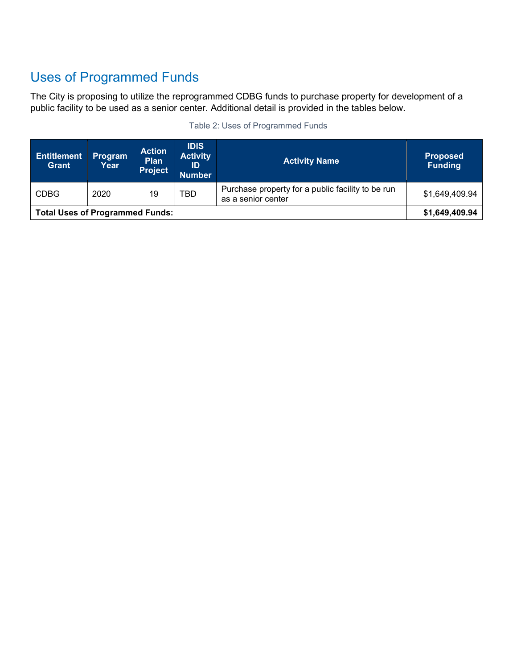# <span id="page-6-0"></span>Uses of Programmed Funds

The City is proposing to utilize the reprogrammed CDBG funds to purchase property for development of a public facility to be used as a senior center. Additional detail is provided in the tables below.

| <b>Entitlement</b><br><b>Grant</b>     | Program<br>Year | <b>Action</b><br><b>Plan</b><br><b>Project</b> | <b>IDIS</b><br><b>Activity</b><br>ID<br><b>Number</b> | <b>Activity Name</b>                                                    | <b>Proposed</b><br><b>Funding</b> |
|----------------------------------------|-----------------|------------------------------------------------|-------------------------------------------------------|-------------------------------------------------------------------------|-----------------------------------|
| <b>CDBG</b>                            | 2020            | 19                                             | TBD                                                   | Purchase property for a public facility to be run<br>as a senior center | \$1,649,409.94                    |
| <b>Total Uses of Programmed Funds:</b> |                 |                                                |                                                       |                                                                         | \$1,649,409.94                    |

#### Table 2: Uses of Programmed Funds